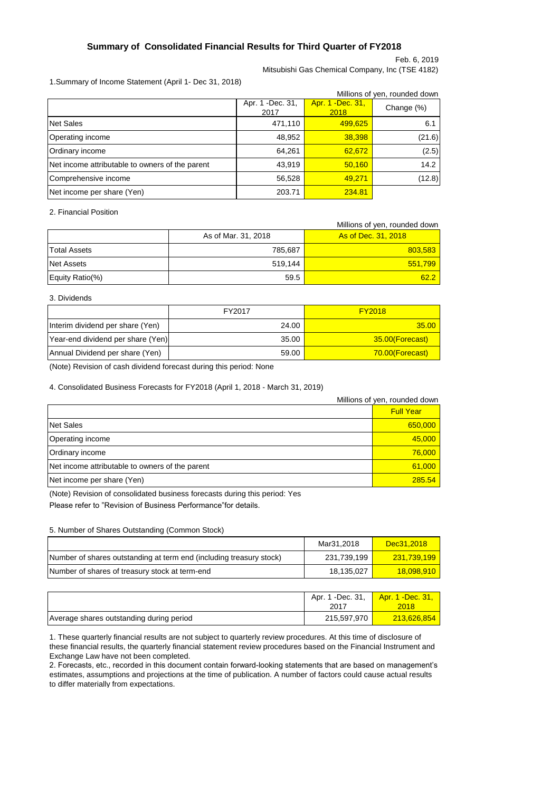## **Summary of Consolidated Financial Results for Third Quarter of FY2018**

Feb. 6, 2019

Mitsubishi Gas Chemical Company, Inc (TSE 4182)

## 1.Summary of Income Statement (April 1- Dec 31, 2018)

|                                                 | Millions of yen, rounded down |            |        |  |  |
|-------------------------------------------------|-------------------------------|------------|--------|--|--|
|                                                 | Apr. 1 - Dec. 31,<br>2017     | Change (%) |        |  |  |
| <b>Net Sales</b>                                | 471,110                       | 499,625    | 6.1    |  |  |
| Operating income                                | 48,952                        | 38,398     | (21.6) |  |  |
| Ordinary income                                 | 64,261                        | 62,672     | (2.5)  |  |  |
| Net income attributable to owners of the parent | 43,919                        | 50,160     | 14.2   |  |  |
| Comprehensive income                            | 56,528                        | 49.271     | (12.8) |  |  |
| Net income per share (Yen)                      | 203.71                        | 234.81     |        |  |  |

2. Financial Position

|                     |                     | Millions of yen, rounded down |
|---------------------|---------------------|-------------------------------|
|                     | As of Mar. 31, 2018 | As of Dec. 31, 2018           |
| <b>Total Assets</b> | 785,687             | 803,583                       |
| <b>Net Assets</b>   | 519.144             | 551,799                       |
| Equity Ratio(%)     | 59.5                | 62.2                          |

#### 3. Dividends

|                                   | FY2017 | <b>FY2018</b>   |
|-----------------------------------|--------|-----------------|
| Interim dividend per share (Yen)  | 24.00  | 35.00           |
| Year-end dividend per share (Yen) | 35.00  | 35.00(Forecast) |
| Annual Dividend per share (Yen)   | 59.00  | 70.00(Forecast) |

(Note) Revision of cash dividend forecast during this period: None

#### 4. Consolidated Business Forecasts for FY2018 (April 1, 2018 - March 31, 2019)

|                                                 | Millions of yen, rounded down |  |
|-------------------------------------------------|-------------------------------|--|
|                                                 | <b>Full Year</b>              |  |
| Net Sales                                       | 650,000                       |  |
| Operating income                                | 45,000                        |  |
| Ordinary income                                 | 76,000                        |  |
| Net income attributable to owners of the parent | 61,000                        |  |
| Net income per share (Yen)                      | 285.54                        |  |

(Note) Revision of consolidated business forecasts during this period: Yes

Please refer to "Revision of Business Performance"for details.

#### 5. Number of Shares Outstanding (Common Stock)

|                                                                     | Mar31.2018  | Dec31.2018               |
|---------------------------------------------------------------------|-------------|--------------------------|
| Number of shares outstanding at term end (including treasury stock) | 231.739.199 | <mark>231.739.199</mark> |
| Number of shares of treasury stock at term-end                      | 18.135.027  | 18,098,910               |

|                                          | Apr. 1 - Dec. 31,<br>2017 | Apr. 1 - Dec. 31,<br>2018 |
|------------------------------------------|---------------------------|---------------------------|
| Average shares outstanding during period | 215,597,970               | 213,626,854               |

1. These quarterly financial results are not subject to quarterly review procedures. At this time of disclosure of these financial results, the quarterly financial statement review procedures based on the Financial Instrument and Exchange Law have not been completed.

2. Forecasts, etc., recorded in this document contain forward-looking statements that are based on management's estimates, assumptions and projections at the time of publication. A number of factors could cause actual results to differ materially from expectations.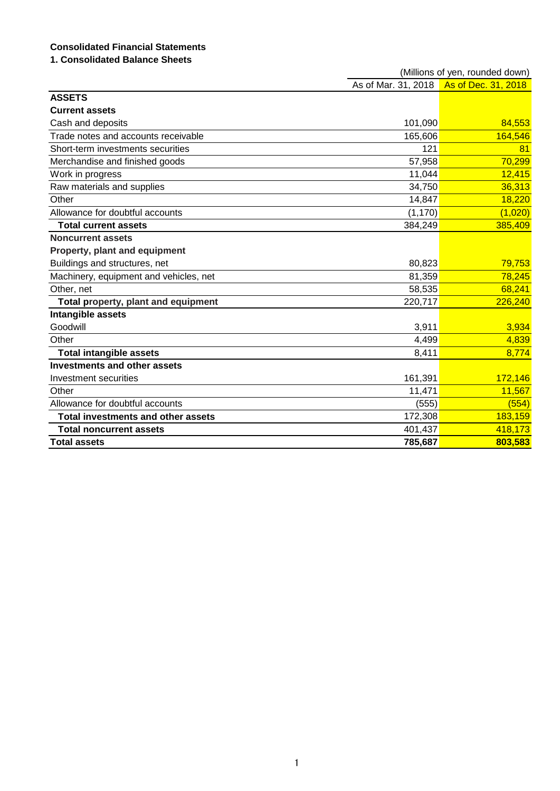# **Consolidated Financial Statements**

# **1. Consolidated Balance Sheets**

|                                           |                     | (Millions of yen, rounded down) |
|-------------------------------------------|---------------------|---------------------------------|
|                                           | As of Mar. 31, 2018 | As of Dec. 31, 2018             |
| <b>ASSETS</b>                             |                     |                                 |
| <b>Current assets</b>                     |                     |                                 |
| Cash and deposits                         | 101,090             | 84,553                          |
| Trade notes and accounts receivable       | 165,606             | 164,546                         |
| Short-term investments securities         | 121                 | 81                              |
| Merchandise and finished goods            | 57,958              | 70,299                          |
| Work in progress                          | 11,044              | 12,415                          |
| Raw materials and supplies                | 34,750              | 36,313                          |
| Other                                     | 14,847              | 18,220                          |
| Allowance for doubtful accounts           | (1, 170)            | (1,020)                         |
| <b>Total current assets</b>               | 384,249             | 385,409                         |
| <b>Noncurrent assets</b>                  |                     |                                 |
| Property, plant and equipment             |                     |                                 |
| Buildings and structures, net             | 80,823              | 79,753                          |
| Machinery, equipment and vehicles, net    | 81,359              | 78,245                          |
| Other, net                                | 58,535              | 68,241                          |
| Total property, plant and equipment       | 220,717             | 226,240                         |
| Intangible assets                         |                     |                                 |
| Goodwill                                  | 3,911               | 3,934                           |
| Other                                     | 4,499               | 4,839                           |
| <b>Total intangible assets</b>            | 8,411               | 8,774                           |
| <b>Investments and other assets</b>       |                     |                                 |
| Investment securities                     | 161,391             | 172,146                         |
| Other                                     | 11,471              | 11,567                          |
| Allowance for doubtful accounts           | (555)               | (554)                           |
| <b>Total investments and other assets</b> | 172,308             | 183,159                         |
| <b>Total noncurrent assets</b>            | 401,437             | 418,173                         |
| <b>Total assets</b>                       | 785,687             | 803,583                         |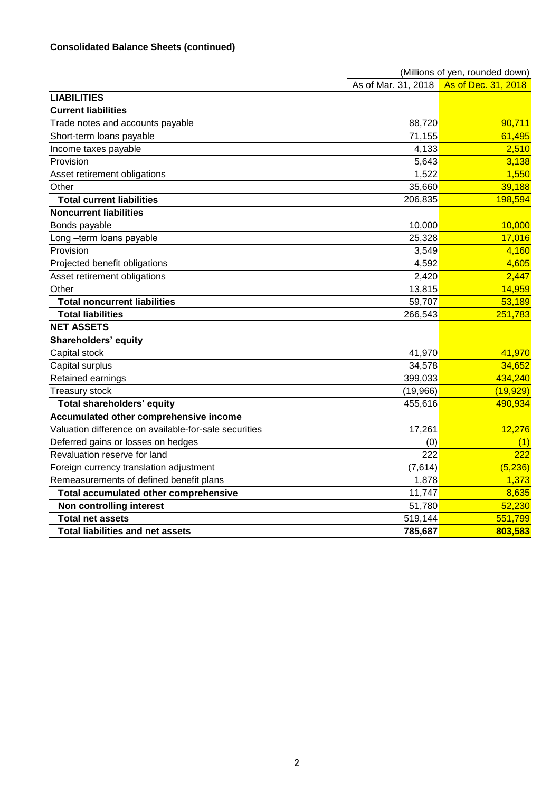|                                                       |          | (Millions of yen, rounded down)         |
|-------------------------------------------------------|----------|-----------------------------------------|
|                                                       |          | As of Mar. 31, 2018 As of Dec. 31, 2018 |
| <b>LIABILITIES</b>                                    |          |                                         |
| <b>Current liabilities</b>                            |          |                                         |
| Trade notes and accounts payable                      | 88,720   | 90,711                                  |
| Short-term loans payable                              | 71,155   | 61,495                                  |
| Income taxes payable                                  | 4,133    | 2,510                                   |
| Provision                                             | 5,643    | 3,138                                   |
| Asset retirement obligations                          | 1,522    | 1,550                                   |
| Other                                                 | 35,660   | 39,188                                  |
| <b>Total current liabilities</b>                      | 206,835  | 198,594                                 |
| <b>Noncurrent liabilities</b>                         |          |                                         |
| Bonds payable                                         | 10,000   | 10,000                                  |
| Long -term loans payable                              | 25,328   | 17,016                                  |
| Provision                                             | 3,549    | 4,160                                   |
| Projected benefit obligations                         | 4,592    | 4,605                                   |
| Asset retirement obligations                          | 2,420    | 2,447                                   |
| Other                                                 | 13,815   | 14,959                                  |
| <b>Total noncurrent liabilities</b>                   | 59,707   | 53,189                                  |
| <b>Total liabilities</b>                              | 266,543  | 251,783                                 |
| <b>NET ASSETS</b>                                     |          |                                         |
| Shareholders' equity                                  |          |                                         |
| Capital stock                                         | 41,970   | 41,970                                  |
| Capital surplus                                       | 34,578   | 34,652                                  |
| Retained earnings                                     | 399,033  | 434,240                                 |
| <b>Treasury stock</b>                                 | (19,966) | (19, 929)                               |
| Total shareholders' equity                            | 455,616  | 490,934                                 |
| Accumulated other comprehensive income                |          |                                         |
| Valuation difference on available-for-sale securities | 17,261   | 12,276                                  |
| Deferred gains or losses on hedges                    | (0)      | (1)                                     |
| Revaluation reserve for land                          | 222      | 222                                     |
| Foreign currency translation adjustment               | (7,614)  | (5, 236)                                |
| Remeasurements of defined benefit plans               | 1,878    | 1,373                                   |
| Total accumulated other comprehensive                 | 11,747   | 8,635                                   |
| Non controlling interest                              | 51,780   | 52,230                                  |
| <b>Total net assets</b>                               | 519,144  | 551,799                                 |
| <b>Total liabilities and net assets</b>               | 785,687  | 803,583                                 |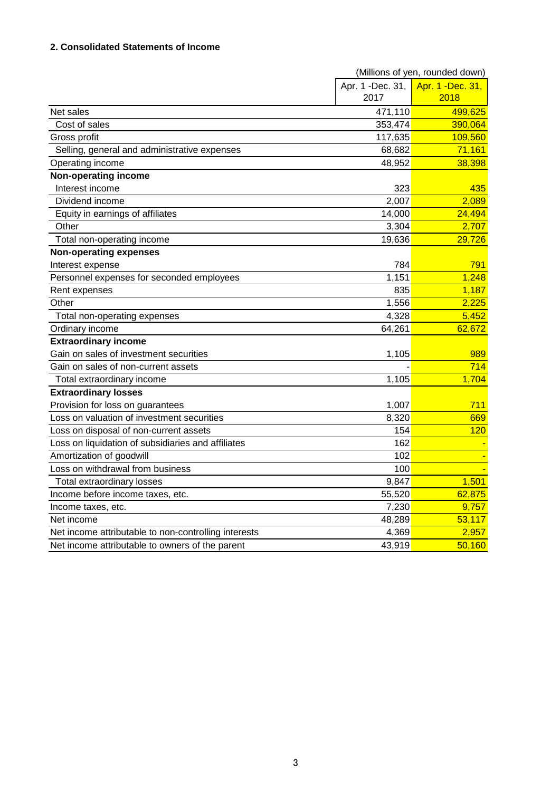## **2. Consolidated Statements of Income**

|                                                      | (Millions of yen, rounded down) |                   |  |
|------------------------------------------------------|---------------------------------|-------------------|--|
|                                                      | Apr. 1 -Dec. 31,                | Apr. 1 - Dec. 31, |  |
|                                                      | 2017                            | 2018              |  |
| Net sales                                            | 471,110                         | 499,625           |  |
| Cost of sales                                        | 353,474                         | 390,064           |  |
| Gross profit                                         | 117,635                         | 109,560           |  |
| Selling, general and administrative expenses         | 68,682                          | 71,161            |  |
| Operating income                                     | 48,952                          | 38,398            |  |
| <b>Non-operating income</b>                          |                                 |                   |  |
| Interest income                                      | 323                             | 435               |  |
| Dividend income                                      | 2,007                           | 2,089             |  |
| Equity in earnings of affiliates                     | 14,000                          | 24,494            |  |
| Other                                                | 3,304                           | 2,707             |  |
| Total non-operating income                           | 19,636                          | 29,726            |  |
| <b>Non-operating expenses</b>                        |                                 |                   |  |
| Interest expense                                     | 784                             | 791               |  |
| Personnel expenses for seconded employees            | 1,151                           | 1,248             |  |
| Rent expenses                                        | 835                             | 1,187             |  |
| Other                                                | 1,556                           | 2,225             |  |
| Total non-operating expenses                         | 4,328                           | 5,452             |  |
| Ordinary income                                      | 64,261                          | 62,672            |  |
| <b>Extraordinary income</b>                          |                                 |                   |  |
| Gain on sales of investment securities               | 1,105                           | 989               |  |
| Gain on sales of non-current assets                  |                                 | 714               |  |
| Total extraordinary income                           | 1,105                           | 1,704             |  |
| <b>Extraordinary losses</b>                          |                                 |                   |  |
| Provision for loss on guarantees                     | 1,007                           | 711               |  |
| Loss on valuation of investment securities           | 8,320                           | 669               |  |
| Loss on disposal of non-current assets               | 154                             | 120               |  |
| Loss on liquidation of subsidiaries and affiliates   | 162                             |                   |  |
| Amortization of goodwill                             | 102                             |                   |  |
| Loss on withdrawal from business                     | 100                             |                   |  |
| <b>Total extraordinary losses</b>                    | 9,847                           | 1,501             |  |
| Income before income taxes, etc.                     | 55,520                          | 62,875            |  |
| Income taxes, etc.                                   | 7,230                           | 9,757             |  |
| Net income                                           | 48,289                          | 53,117            |  |
| Net income attributable to non-controlling interests | 4,369                           | 2,957             |  |
| Net income attributable to owners of the parent      | 43,919                          | 50,160            |  |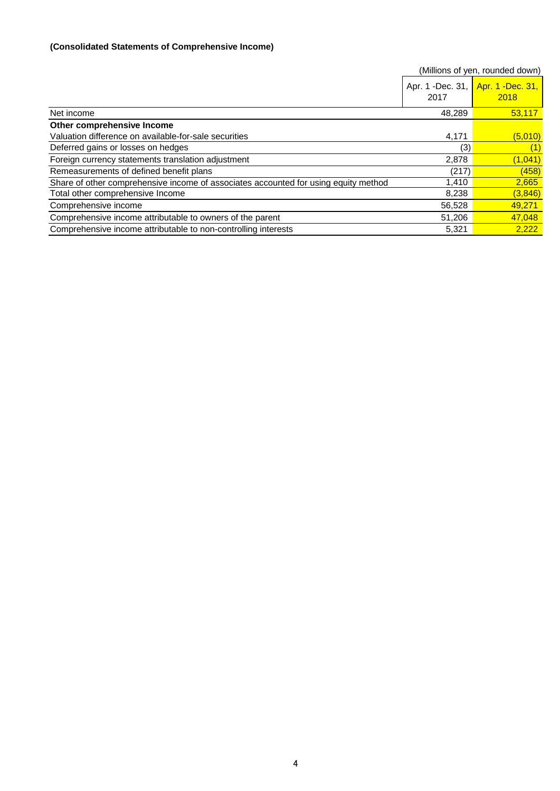## **(Consolidated Statements of Comprehensive Income)**

|                                                                                     |        | (Millions of yen, rounded down)           |
|-------------------------------------------------------------------------------------|--------|-------------------------------------------|
|                                                                                     | 2017   | Apr. 1 -Dec. 31, Apr. 1 -Dec. 31,<br>2018 |
| Net income                                                                          | 48,289 | 53.117                                    |
| Other comprehensive Income                                                          |        |                                           |
| Valuation difference on available-for-sale securities                               | 4,171  | (5,010)                                   |
| Deferred gains or losses on hedges                                                  | (3)    | (1)                                       |
| Foreign currency statements translation adjustment                                  | 2,878  | (1,041)                                   |
| Remeasurements of defined benefit plans                                             | (217)  | (458)                                     |
| Share of other comprehensive income of associates accounted for using equity method | 1.410  | 2,665                                     |
| Total other comprehensive Income                                                    | 8,238  | (3, 846)                                  |
| Comprehensive income                                                                | 56,528 | 49,271                                    |
| Comprehensive income attributable to owners of the parent                           | 51,206 | 47,048                                    |
| Comprehensive income attributable to non-controlling interests                      | 5,321  | 2.222                                     |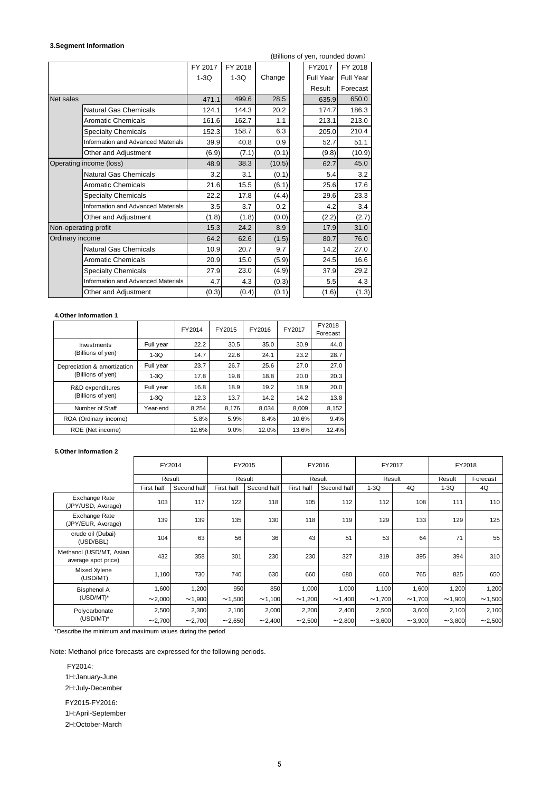### **3.Segment Information**

| 3.Segment Information |                                           |         |         |        |  |                                 |           |
|-----------------------|-------------------------------------------|---------|---------|--------|--|---------------------------------|-----------|
|                       |                                           |         |         |        |  | (Billions of yen, rounded down) |           |
|                       |                                           | FY 2017 | FY 2018 |        |  | FY2017                          | FY 2018   |
|                       |                                           | $1-3Q$  | $1-3Q$  | Change |  | Full Year                       | Full Year |
|                       |                                           |         |         |        |  | Result                          | Forecast  |
| Net sales             |                                           | 471.1   | 499.6   | 28.5   |  | 635.9                           | 650.0     |
|                       | Natural Gas Chemicals                     | 124.1   | 144.3   | 20.2   |  | 174.7                           | 186.3     |
|                       | <b>Aromatic Chemicals</b>                 | 161.6   | 162.7   | 1.1    |  | 213.1                           | 213.0     |
|                       | <b>Specialty Chemicals</b>                | 152.3   | 158.7   | 6.3    |  | 205.0                           | 210.4     |
|                       | <b>Information and Advanced Materials</b> | 39.9    | 40.8    | 0.9    |  | 52.7                            | 51.1      |
|                       | Other and Adjustment                      | (6.9)   | (7.1)   | (0.1)  |  | (9.8)                           | (10.9)    |
|                       | Operating income (loss)                   |         | 38.3    | (10.5) |  | 62.7                            | 45.0      |
|                       | <b>Natural Gas Chemicals</b>              | 3.2     | 3.1     | (0.1)  |  | 5.4                             | 3.2       |
|                       | <b>Aromatic Chemicals</b>                 | 21.6    | 15.5    | (6.1)  |  | 25.6                            | 17.6      |
|                       | <b>Specialty Chemicals</b>                | 22.2    | 17.8    | (4.4)  |  | 29.6                            | 23.3      |
|                       | Information and Advanced Materials        | 3.5     | 3.7     | 0.2    |  | 4.2                             | 3.4       |
|                       | Other and Adjustment                      | (1.8)   | (1.8)   | (0.0)  |  | (2.2)                           | (2.7)     |
| Non-operating profit  |                                           | 15.3    | 24.2    | 8.9    |  | 17.9                            | 31.0      |
| Ordinary income       |                                           | 64.2    | 62.6    | (1.5)  |  | 80.7                            | 76.0      |
|                       | <b>Natural Gas Chemicals</b>              | 10.9    | 20.7    | 9.7    |  | 14.2                            | 27.0      |
|                       | <b>Aromatic Chemicals</b>                 | 20.9    | 15.0    | (5.9)  |  | 24.5                            | 16.6      |
|                       | <b>Specialty Chemicals</b>                | 27.9    | 23.0    | (4.9)  |  | 37.9                            | 29.2      |
|                       | Information and Advanced Materials        | 4.7     | 4.3     | (0.3)  |  | 5.5                             | 4.3       |
|                       | Other and Adjustment                      | (0.3)   | (0.4)   | (0.1)  |  | (1.6)                           | (1.3)     |

#### **4.Other Information 1**

|                                                  |           | FY2014 | FY2015 | FY2016 | FY2017 | FY2018<br>Forecast |
|--------------------------------------------------|-----------|--------|--------|--------|--------|--------------------|
| Investments                                      | Full year | 22.2   | 30.5   | 35.0   | 30.9   | 44.0               |
| (Billions of yen)                                | $1-3Q$    | 14.7   | 22.6   | 24.1   | 23.2   | 28.7               |
| Depreciation & amortization<br>(Billions of yen) | Full year | 23.7   | 26.7   | 25.6   | 27.0   | 27.0               |
|                                                  | $1-3Q$    | 17.8   | 19.8   | 18.8   | 20.0   | 20.3               |
| R&D expenditures<br>(Billions of yen)            | Full year | 16.8   | 18.9   | 19.2   | 18.9   | 20.0               |
|                                                  | $1-3Q$    | 12.3   | 13.7   | 14.2   | 14.2   | 13.8               |
| Number of Staff                                  | Year-end  | 8,254  | 8,176  | 8,034  | 8,009  | 8,152              |
| ROA (Ordinary income)                            |           | 5.8%   | 5.9%   | 8.4%   | 10.6%  | 9.4%               |
| ROE (Net income)                                 |           | 12.6%  | 9.0%   | 12.0%  | 13.6%  | 12.4%              |

#### **5.Other Information 2**

|                                                |            | FY2014      |            | FY2015      |            | FY2016      | FY2017 |              | FY2018 |          |
|------------------------------------------------|------------|-------------|------------|-------------|------------|-------------|--------|--------------|--------|----------|
|                                                |            | Result      |            | Result      |            | Result      | Result |              | Result | Forecast |
|                                                | First half | Second half | First half | Second half | First half | Second half | $1-3Q$ | 4Q           | $1-3Q$ | 4Q       |
| Exchange Rate<br>(JPY/USD, Average)            | 103        | 117         | 122        | 118         | 105        | 112         | 112    | 108          | 111    | 110      |
| Exchange Rate<br>(JPY/EUR, Average)            | 139        | 139         | 135        | 130         | 118        | 119         | 129    | 133          | 129    | 125      |
| crude oil (Dubai)<br>(USD/BBL)                 | 104        | 63          | 56         | 36          | 43         | 51          | 53     | 64           | 71     | 55       |
| Methanol (USD/MT, Asian<br>average spot price) | 432        | 358         | 301        | 230         | 230        | 327         | 319    | 395          | 394    | 310      |
| Mixed Xylene<br>(USD/MT)                       | 1,100      | 730         | 740        | 630         | 660        | 680         | 660    | 765          | 825    | 650      |
| <b>Bisphenol A</b>                             | 1,600      | 1,200       | 950        | 850         | 1,000      | 1,000       | 1,100  | 1,600        | 1,200  | 1,200    |
| (USD/MT)*                                      | ~2,000     | ~1,900      | ~1,500     | ~1,100      | ~1,200     | ~1,400      | ~1,700 | ~1,700       | ~1,900 | ~1,500   |
| Polycarbonate                                  | 2,500      | 2,300       | 2,100      | 2,000       | 2,200      | 2,400       | 2,500  | 3,600        | 2,100  | 2,100    |
| (USD/MT)*                                      | ~2,700     | ~2,700      | ~2,650     | ~2,400      | ~2,500     | ~2,800      | ~1,600 | $\sim$ 3,900 | ~1,800 | ~2,500   |

\*Describe the minimum and maximum values during the period

Note: Methanol price forecasts are expressed for the following periods.

 FY2014: 1H:January-June 2H:July-December FY2015-FY2016:

 1H:April-September 2H:October-March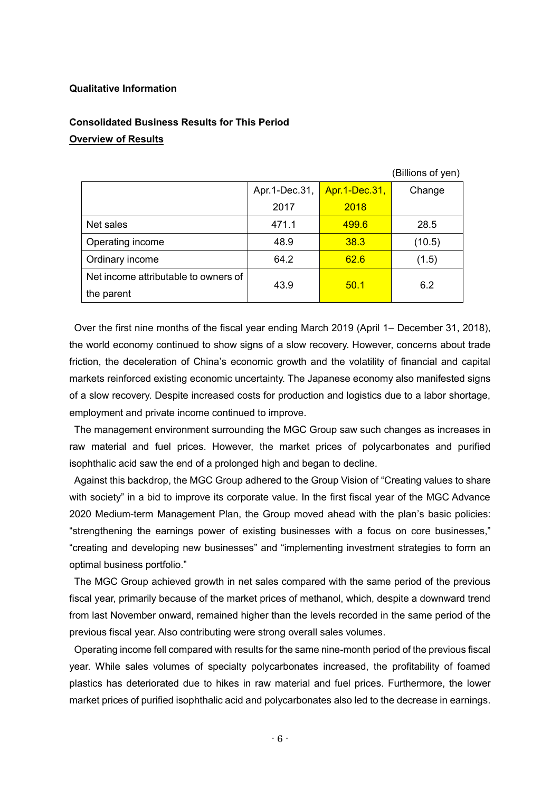## **Qualitative Information**

# **Consolidated Business Results for This Period Overview of Results**

|                                      |               |               | ווטע וט טווטוושן |
|--------------------------------------|---------------|---------------|------------------|
|                                      | Apr.1-Dec.31, | Apr.1-Dec.31, | Change           |
|                                      | 2017          | 2018          |                  |
| Net sales                            | 471.1         | 499.6         | 28.5             |
| Operating income                     | 48.9          | 38.3          | (10.5)           |
| Ordinary income                      | 64.2          | 62.6          | (1.5)            |
| Net income attributable to owners of | 43.9          | 50.1          | 6.2              |
| the parent                           |               |               |                  |

(Billions of yen)

Over the first nine months of the fiscal year ending March 2019 (April 1– December 31, 2018), the world economy continued to show signs of a slow recovery. However, concerns about trade friction, the deceleration of China's economic growth and the volatility of financial and capital markets reinforced existing economic uncertainty. The Japanese economy also manifested signs of a slow recovery. Despite increased costs for production and logistics due to a labor shortage, employment and private income continued to improve.

The management environment surrounding the MGC Group saw such changes as increases in raw material and fuel prices. However, the market prices of polycarbonates and purified isophthalic acid saw the end of a prolonged high and began to decline.

Against this backdrop, the MGC Group adhered to the Group Vision of "Creating values to share with society" in a bid to improve its corporate value. In the first fiscal year of the MGC Advance 2020 Medium-term Management Plan, the Group moved ahead with the plan's basic policies: "strengthening the earnings power of existing businesses with a focus on core businesses," "creating and developing new businesses" and "implementing investment strategies to form an optimal business portfolio."

The MGC Group achieved growth in net sales compared with the same period of the previous fiscal year, primarily because of the market prices of methanol, which, despite a downward trend from last November onward, remained higher than the levels recorded in the same period of the previous fiscal year. Also contributing were strong overall sales volumes.

Operating income fell compared with results for the same nine-month period of the previous fiscal year. While sales volumes of specialty polycarbonates increased, the profitability of foamed plastics has deteriorated due to hikes in raw material and fuel prices. Furthermore, the lower market prices of purified isophthalic acid and polycarbonates also led to the decrease in earnings.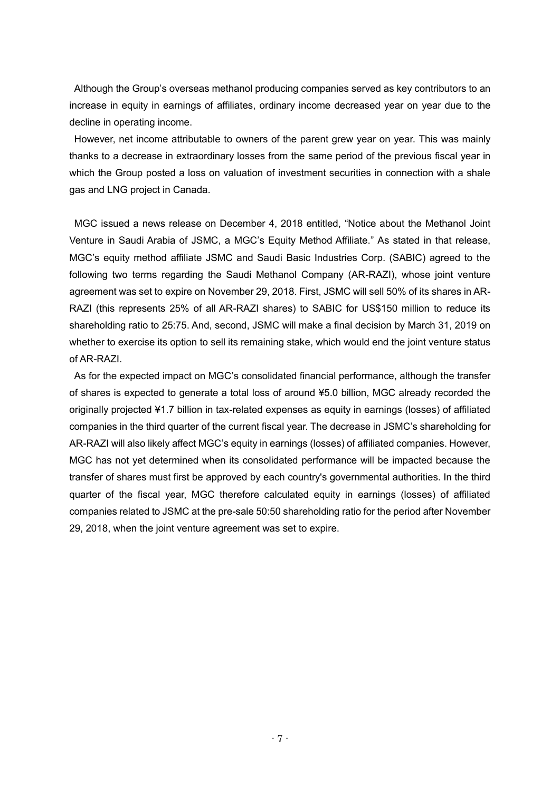Although the Group's overseas methanol producing companies served as key contributors to an increase in equity in earnings of affiliates, ordinary income decreased year on year due to the decline in operating income.

However, net income attributable to owners of the parent grew year on year. This was mainly thanks to a decrease in extraordinary losses from the same period of the previous fiscal year in which the Group posted a loss on valuation of investment securities in connection with a shale gas and LNG project in Canada.

MGC issued a news release on December 4, 2018 entitled, "Notice about the Methanol Joint Venture in Saudi Arabia of JSMC, a MGC's Equity Method Affiliate." As stated in that release, MGC's equity method affiliate JSMC and Saudi Basic Industries Corp. (SABIC) agreed to the following two terms regarding the Saudi Methanol Company (AR-RAZI), whose joint venture agreement was set to expire on November 29, 2018. First, JSMC will sell 50% of its shares in AR-RAZI (this represents 25% of all AR-RAZI shares) to SABIC for US\$150 million to reduce its shareholding ratio to 25:75. And, second, JSMC will make a final decision by March 31, 2019 on whether to exercise its option to sell its remaining stake, which would end the joint venture status of AR-RAZI.

As for the expected impact on MGC's consolidated financial performance, although the transfer of shares is expected to generate a total loss of around ¥5.0 billion, MGC already recorded the originally projected ¥1.7 billion in tax-related expenses as equity in earnings (losses) of affiliated companies in the third quarter of the current fiscal year. The decrease in JSMC's shareholding for AR-RAZI will also likely affect MGC's equity in earnings (losses) of affiliated companies. However, MGC has not yet determined when its consolidated performance will be impacted because the transfer of shares must first be approved by each country's governmental authorities. In the third quarter of the fiscal year, MGC therefore calculated equity in earnings (losses) of affiliated companies related to JSMC at the pre-sale 50:50 shareholding ratio for the period after November 29, 2018, when the joint venture agreement was set to expire.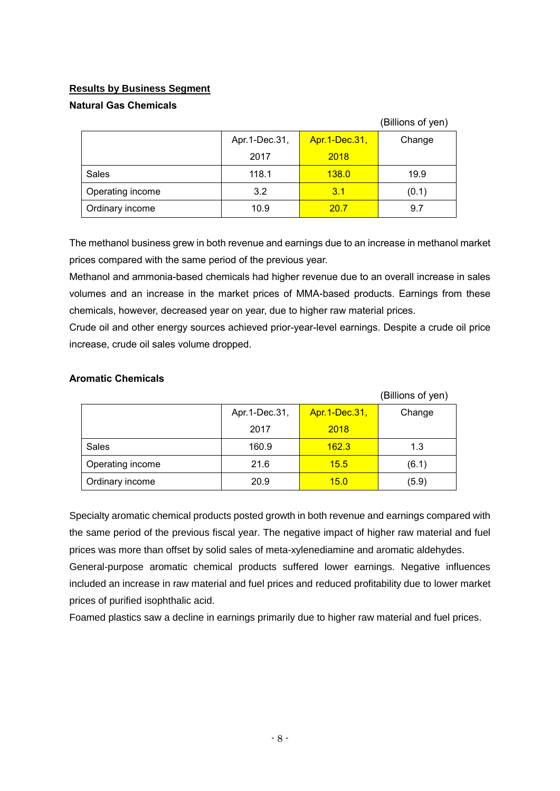# **Results by Business Segment**

## **Natural Gas Chemicals**

|                  |                 |               | (Billions of yen) |
|------------------|-----------------|---------------|-------------------|
|                  | Apr. 1-Dec. 31, | Apr.1-Dec.31, | Change            |
|                  | 2017            | 2018          |                   |
| Sales            | 118.1           | 138.0         | 19.9              |
| Operating income | 3.2             | 3.1           | (0.1)             |
| Ordinary income  | 10.9            | 20.7          | 9.7               |

The methanol business grew in both revenue and earnings due to an increase in methanol market prices compared with the same period of the previous year.

Methanol and ammonia-based chemicals had higher revenue due to an overall increase in sales volumes and an increase in the market prices of MMA-based products. Earnings from these chemicals, however, decreased year on year, due to higher raw material prices.

Crude oil and other energy sources achieved prior-year-level earnings. Despite a crude oil price increase, crude oil sales volume dropped.

|                  |               |               | (Billions of yen) |
|------------------|---------------|---------------|-------------------|
|                  | Apr.1-Dec.31, | Apr.1-Dec.31, | Change            |
|                  | 2017          | 2018          |                   |
| Sales            | 160.9         | 162.3         | 1.3               |
| Operating income | 21.6          | 15.5          | (6.1)             |
| Ordinary income  | 20.9          | 15.0          | (5.9)             |

**Aromatic Chemicals** 

Specialty aromatic chemical products posted growth in both revenue and earnings compared with the same period of the previous fiscal year. The negative impact of higher raw material and fuel prices was more than offset by solid sales of meta-xylenediamine and aromatic aldehydes. General-purpose aromatic chemical products suffered lower earnings. Negative influences included an increase in raw material and fuel prices and reduced profitability due to lower market prices of purified isophthalic acid.

Foamed plastics saw a decline in earnings primarily due to higher raw material and fuel prices.